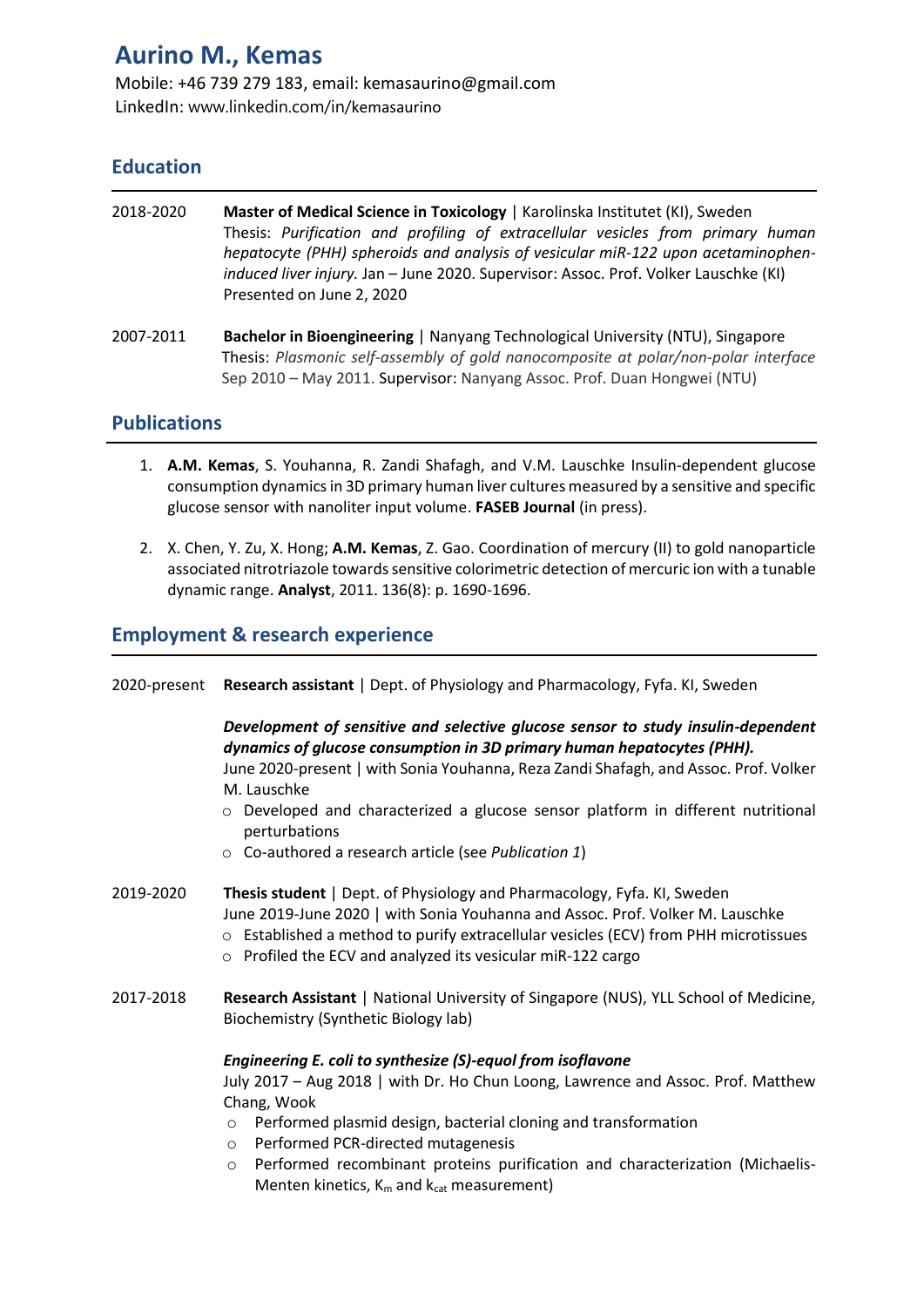# **Aurino M., Kemas**

Mobile: +46 739 279 183, email: kemasaurino@gmail.com LinkedIn: www.linkedin.com/in/kemasaurino

## **Education**

| 2018-2020 | Master of Medical Science in Toxicology   Karolinska Institutet (KI), Sweden<br>Thesis: Purification and profiling of extracellular vesicles from primary human<br>hepatocyte (PHH) spheroids and analysis of vesicular miR-122 upon acetaminophen-<br>induced liver injury. Jan - June 2020. Supervisor: Assoc. Prof. Volker Lauschke (KI)<br>Presented on June 2, 2020 |
|-----------|--------------------------------------------------------------------------------------------------------------------------------------------------------------------------------------------------------------------------------------------------------------------------------------------------------------------------------------------------------------------------|
| 2007-2011 | Bachelor in Bioengineering   Nanyang Technological University (NTU), Singapore<br>Thesis: Plasmonic self-assembly of gold nanocomposite at polar/non-polar interface<br>Sep 2010 - May 2011. Supervisor: Nanyang Assoc. Prof. Duan Hongwei (NTU)                                                                                                                         |

## **Publications**

- 1. **A.M. Kemas**, S. Youhanna, R. Zandi Shafagh, and V.M. Lauschke Insulin-dependent glucose consumption dynamics in 3D primary human liver cultures measured by a sensitive and specific glucose sensor with nanoliter input volume. **FASEB Journal** (in press).
- 2. X. Chen, Y. Zu, X. Hong; **A.M. Kemas**, Z. Gao. Coordination of mercury (II) to gold nanoparticle associated nitrotriazole towards sensitive colorimetric detection of mercuric ion with a tunable dynamic range. **Analyst**, 2011. 136(8): p. 1690-1696.

## **Employment & research experience**

2020-present **Research assistant** | Dept. of Physiology and Pharmacology, Fyfa. KI, Sweden

*Development of sensitive and selective glucose sensor to study insulin-dependent dynamics of glucose consumption in 3D primary human hepatocytes (PHH).* June 2020-present | with Sonia Youhanna, Reza Zandi Shafagh, and Assoc. Prof. Volker M. Lauschke

- o Developed and characterized a glucose sensor platform in different nutritional perturbations
- o Co-authored a research article (see *Publication 1*)
- 2019-2020 **Thesis student** | Dept. of Physiology and Pharmacology, Fyfa. KI, Sweden June 2019-June 2020 | with Sonia Youhanna and Assoc. Prof. Volker M. Lauschke
	- $\circ$  Established a method to purify extracellular vesicles (ECV) from PHH microtissues
	- o Profiled the ECV and analyzed its vesicular miR-122 cargo
- 2017-2018 **Research Assistant** | National University of Singapore (NUS), YLL School of Medicine, Biochemistry (Synthetic Biology lab)

#### *Engineering E. coli to synthesize (S)-equol from isoflavone*

July 2017 – Aug 2018 | with Dr. Ho Chun Loong, Lawrence and Assoc. Prof. Matthew Chang, Wook

- o Performed plasmid design, bacterial cloning and transformation
- o Performed PCR-directed mutagenesis
- o Performed recombinant proteins purification and characterization (Michaelis-Menten kinetics,  $K_m$  and  $k_{cat}$  measurement)